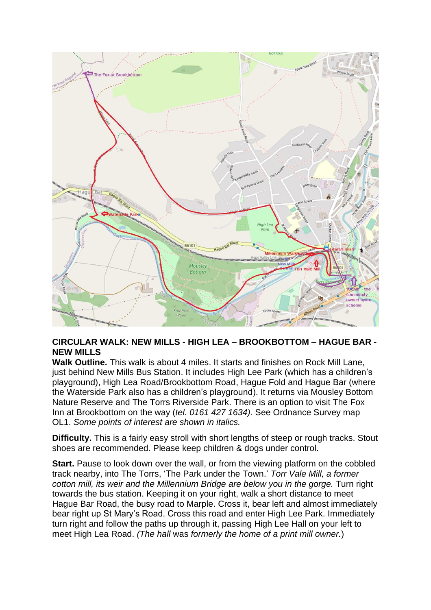

## **CIRCULAR WALK: NEW MILLS - HIGH LEA – BROOKBOTTOM – HAGUE BAR - NEW MILLS**

**Walk Outline.** This walk is about 4 miles. It starts and finishes on Rock Mill Lane, just behind New Mills Bus Station. It includes High Lee Park (which has a children's playground), High Lea Road/Brookbottom Road, Hague Fold and Hague Bar (where the Waterside Park also has a children's playground). It returns via Mousley Bottom Nature Reserve and The Torrs Riverside Park. There is an option to visit The Fox Inn at Brookbottom on the way (*tel. 0161 427 1634).* See Ordnance Survey map OL1. *Some points of interest are shown in italics.*

**Difficulty.** This is a fairly easy stroll with short lengths of steep or rough tracks. Stout shoes are recommended. Please keep children & dogs under control.

**Start.** Pause to look down over the wall, or from the viewing platform on the cobbled track nearby, into The Torrs, 'The Park under the Town.' *Torr Vale Mill, a former cotton mill, its weir and the Millennium Bridge are below you in the gorge.* Turn right towards the bus station. Keeping it on your right, walk a short distance to meet Hague Bar Road, the busy road to Marple. Cross it, bear left and almost immediately bear right up St Mary's Road. Cross this road and enter High Lee Park. Immediately turn right and follow the paths up through it, passing High Lee Hall on your left to meet High Lea Road. *(The hall* was *formerly the home of a print mill owner.*)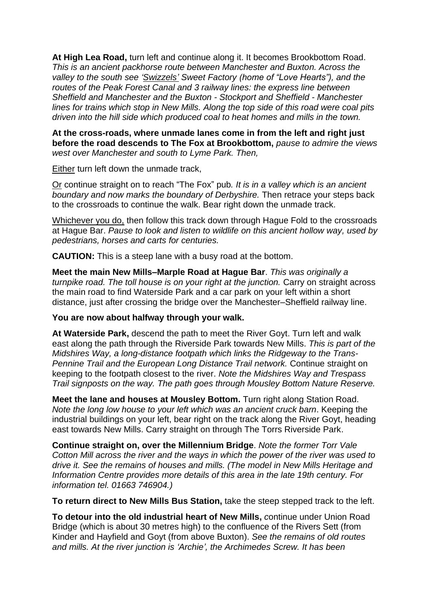**At High Lea Road,** turn left and continue along it. It becomes Brookbottom Road. *This is an ancient packhorse route between Manchester and Buxton. Across the valley to the south see 'Swizzels' Sweet Factory (home of "Love Hearts"), and the routes of the Peak Forest Canal and 3 railway lines: the express line between Sheffield and Manchester and the Buxton - Stockport and Sheffield - Manchester lines for trains which stop in New Mills. Along the top side of this road were coal pits driven into the hill side which produced coal to heat homes and mills in the town.*

**At the cross-roads, where unmade lanes come in from the left and right just before the road descends to The Fox at Brookbottom,** *pause to admire the views west over Manchester and south to Lyme Park. Then,*

Either turn left down the unmade track,

Or continue straight on to reach "The Fox" pub*. It is in a valley which is an ancient boundary and now marks the boundary of Derbyshire.* Then retrace your steps back to the crossroads to continue the walk. Bear right down the unmade track.

Whichever you do, then follow this track down through Hague Fold to the crossroads at Hague Bar. *Pause to look and listen to wildlife on this ancient hollow way, used by pedestrians, horses and carts for centuries.*

**CAUTION:** This is a steep lane with a busy road at the bottom.

**Meet the main New Mills–Marple Road at Hague Bar**. *This was originally a turnpike road. The toll house is on your right at the junction.* Carry on straight across the main road to find Waterside Park and a car park on your left within a short distance, just after crossing the bridge over the Manchester–Sheffield railway line.

## **You are now about halfway through your walk.**

**At Waterside Park,** descend the path to meet the River Goyt. Turn left and walk east along the path through the Riverside Park towards New Mills. *This is part of the Midshires Way, a long-distance footpath which links the Ridgeway to the Trans-Pennine Trail and the European Long Distance Trail network.* Continue straight on keeping to the footpath closest to the river. *Note the Midshires Way and Trespass Trail signposts on the way. The path goes through Mousley Bottom Nature Reserve.*

**Meet the lane and houses at Mousley Bottom.** Turn right along Station Road. *Note the long low house to your left which was an ancient cruck barn*. Keeping the industrial buildings on your left, bear right on the track along the River Goyt, heading east towards New Mills. Carry straight on through The Torrs Riverside Park.

**Continue straight on, over the Millennium Bridge**. *Note the former Torr Vale Cotton Mill across the river and the ways in which the power of the river was used to drive it. See the remains of houses and mills. (The model in New Mills Heritage and Information Centre provides more details of this area in the late 19th century. For information tel. 01663 746904.)*

**To return direct to New Mills Bus Station,** take the steep stepped track to the left.

**To detour into the old industrial heart of New Mills,** *c*ontinue under Union Road Bridge (which is about 30 metres high) to the confluence of the Rivers Sett (from Kinder and Hayfield and Goyt (from above Buxton). *See the remains of old routes and mills. At the river junction is 'Archie', the Archimedes Screw. It has been*